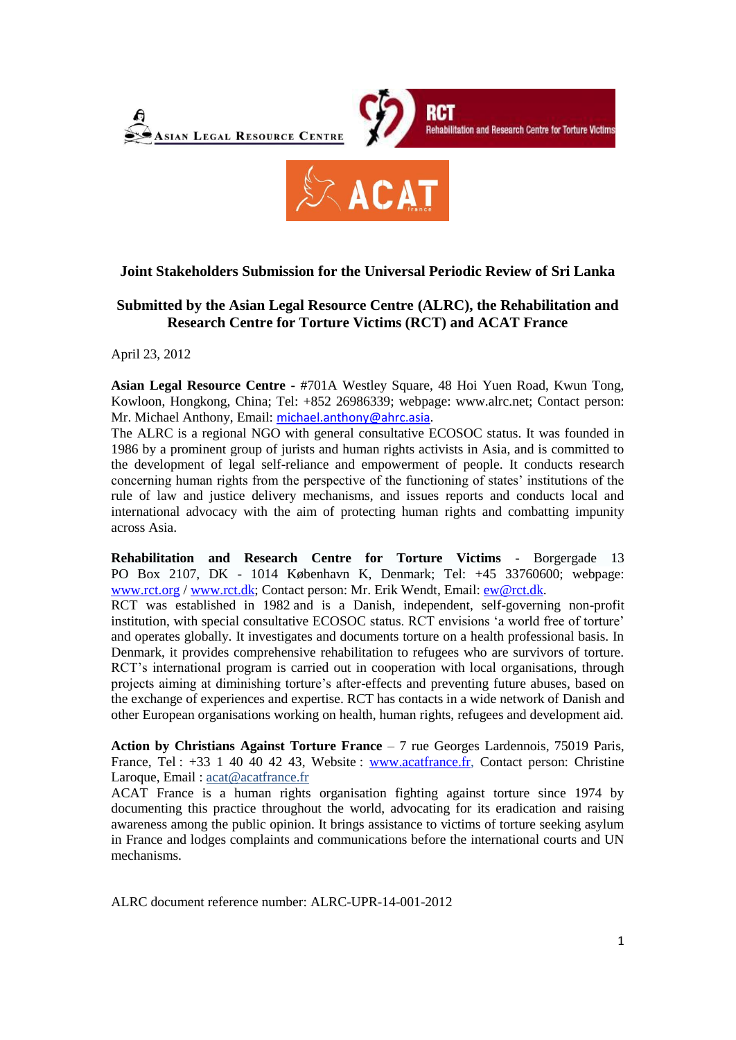

## **Joint Stakeholders Submission for the Universal Periodic Review of Sri Lanka**

# **Submitted by the Asian Legal Resource Centre (ALRC), the Rehabilitation and Research Centre for Torture Victims (RCT) and ACAT France**

April 23, 2012

**Asian Legal Resource Centre -** #701A Westley Square, 48 Hoi Yuen Road, Kwun Tong, Kowloon, Hongkong, China; Tel: +852 26986339; webpage: www.alrc.net; Contact person: Mr. Michael Anthony, Email: [michael.anthony@ahrc.asia.](mailto:michael.anthony@ahrc.asia)

The ALRC is a regional NGO with general consultative ECOSOC status. It was founded in 1986 by a prominent group of jurists and human rights activists in Asia, and is committed to the development of legal self-reliance and empowerment of people. It conducts research concerning human rights from the perspective of the functioning of states' institutions of the rule of law and justice delivery mechanisms, and issues reports and conducts local and international advocacy with the aim of protecting human rights and combatting impunity across Asia.

**Rehabilitation and Research Centre for Torture Victims** - Borgergade 13 PO Box 2107, DK - 1014 København K, Denmark; Tel: +45 33760600; webpage: [www.rct.org](http://www.rct.org/) / [www.rct.dk;](http://www.rct.dk/) Contact person: Mr. Erik Wendt, Email: [ew@rct.dk.](mailto:ew@rct.dk)

RCT was established in 1982 and is a Danish, independent, self-governing non-profit institution, with special consultative ECOSOC status. RCT envisions 'a world free of torture' and operates globally. It investigates and documents torture on a health professional basis. In Denmark, it provides comprehensive rehabilitation to refugees who are survivors of torture. RCT's international program is carried out in cooperation with local organisations, through projects aiming at diminishing torture's after-effects and preventing future abuses, based on the exchange of experiences and expertise. RCT has contacts in a wide network of Danish and other European organisations working on health, human rights, refugees and development aid.

**Action by Christians Against Torture France** – 7 rue Georges Lardennois, 75019 Paris, France, Tel : +33 1 40 40 42 43, Website : [www.acatfrance.fr,](http://www.acatfrance.fr/) Contact person: Christine Laroque, Email: [acat@acatfrance.fr](mailto:acat@acatfrance.fr)

ACAT France is a human rights organisation fighting against torture since 1974 by documenting this practice throughout the world, advocating for its eradication and raising awareness among the public opinion. It brings assistance to victims of torture seeking asylum in France and lodges complaints and communications before the international courts and UN mechanisms.

ALRC document reference number: ALRC-UPR-14-001-2012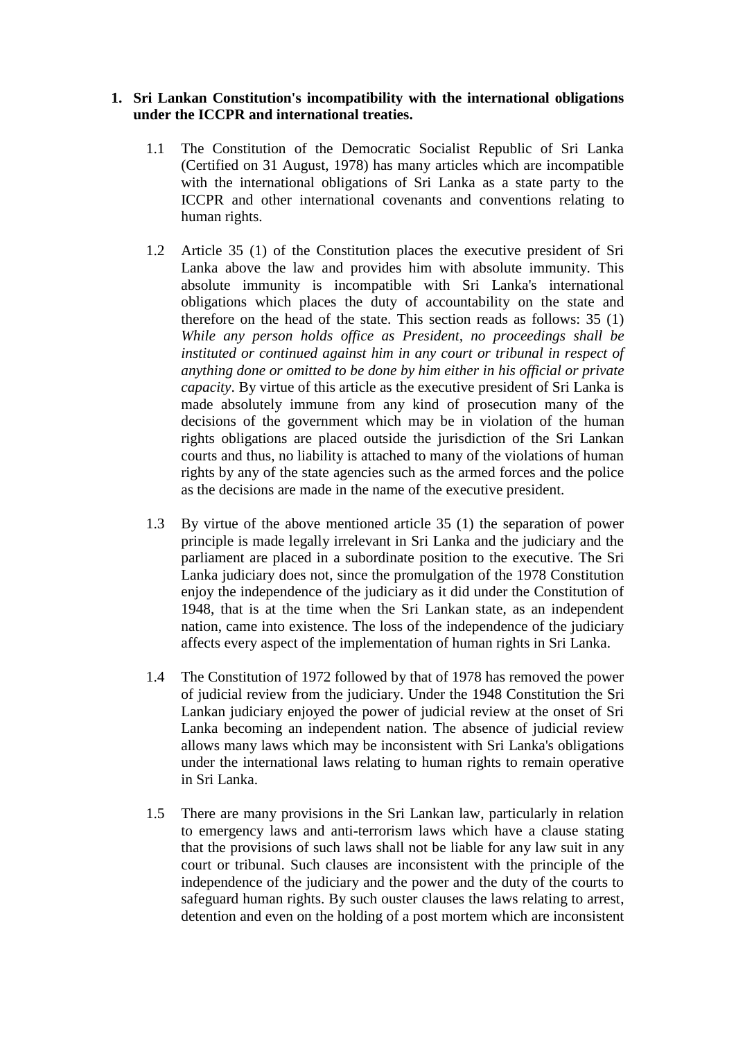## **1. Sri Lankan Constitution's incompatibility with the international obligations under the ICCPR and international treaties.**

- 1.1 The Constitution of the Democratic Socialist Republic of Sri Lanka (Certified on 31 August, 1978) has many articles which are incompatible with the international obligations of Sri Lanka as a state party to the ICCPR and other international covenants and conventions relating to human rights.
- 1.2 Article 35 (1) of the Constitution places the executive president of Sri Lanka above the law and provides him with absolute immunity. This absolute immunity is incompatible with Sri Lanka's international obligations which places the duty of accountability on the state and therefore on the head of the state. This section reads as follows: 35 (1) *While any person holds office as President, no proceedings shall be instituted or continued against him in any court or tribunal in respect of anything done or omitted to be done by him either in his official or private capacity*. By virtue of this article as the executive president of Sri Lanka is made absolutely immune from any kind of prosecution many of the decisions of the government which may be in violation of the human rights obligations are placed outside the jurisdiction of the Sri Lankan courts and thus, no liability is attached to many of the violations of human rights by any of the state agencies such as the armed forces and the police as the decisions are made in the name of the executive president.
- 1.3 By virtue of the above mentioned article 35 (1) the separation of power principle is made legally irrelevant in Sri Lanka and the judiciary and the parliament are placed in a subordinate position to the executive. The Sri Lanka judiciary does not, since the promulgation of the 1978 Constitution enjoy the independence of the judiciary as it did under the Constitution of 1948, that is at the time when the Sri Lankan state, as an independent nation, came into existence. The loss of the independence of the judiciary affects every aspect of the implementation of human rights in Sri Lanka.
- 1.4 The Constitution of 1972 followed by that of 1978 has removed the power of judicial review from the judiciary. Under the 1948 Constitution the Sri Lankan judiciary enjoyed the power of judicial review at the onset of Sri Lanka becoming an independent nation. The absence of judicial review allows many laws which may be inconsistent with Sri Lanka's obligations under the international laws relating to human rights to remain operative in Sri Lanka.
- 1.5 There are many provisions in the Sri Lankan law, particularly in relation to emergency laws and anti-terrorism laws which have a clause stating that the provisions of such laws shall not be liable for any law suit in any court or tribunal. Such clauses are inconsistent with the principle of the independence of the judiciary and the power and the duty of the courts to safeguard human rights. By such ouster clauses the laws relating to arrest, detention and even on the holding of a post mortem which are inconsistent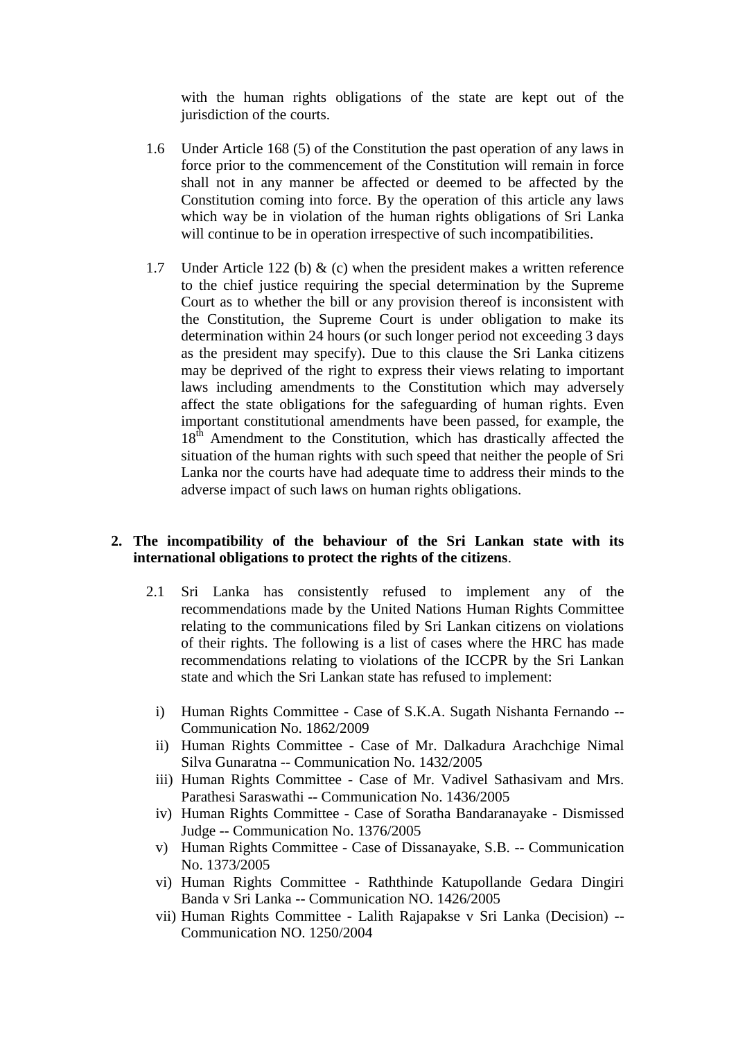with the human rights obligations of the state are kept out of the jurisdiction of the courts.

- 1.6 Under Article 168 (5) of the Constitution the past operation of any laws in force prior to the commencement of the Constitution will remain in force shall not in any manner be affected or deemed to be affected by the Constitution coming into force. By the operation of this article any laws which way be in violation of the human rights obligations of Sri Lanka will continue to be in operation irrespective of such incompatibilities.
- 1.7 Under Article 122 (b)  $\&$  (c) when the president makes a written reference to the chief justice requiring the special determination by the Supreme Court as to whether the bill or any provision thereof is inconsistent with the Constitution, the Supreme Court is under obligation to make its determination within 24 hours (or such longer period not exceeding 3 days as the president may specify). Due to this clause the Sri Lanka citizens may be deprived of the right to express their views relating to important laws including amendments to the Constitution which may adversely affect the state obligations for the safeguarding of human rights. Even important constitutional amendments have been passed, for example, the 18<sup>th</sup> Amendment to the Constitution, which has drastically affected the situation of the human rights with such speed that neither the people of Sri Lanka nor the courts have had adequate time to address their minds to the adverse impact of such laws on human rights obligations.

## **2. The incompatibility of the behaviour of the Sri Lankan state with its international obligations to protect the rights of the citizens**.

- 2.1 Sri Lanka has consistently refused to implement any of the recommendations made by the United Nations Human Rights Committee relating to the communications filed by Sri Lankan citizens on violations of their rights. The following is a list of cases where the HRC has made recommendations relating to violations of the ICCPR by the Sri Lankan state and which the Sri Lankan state has refused to implement:
	- i) Human Rights Committee Case of S.K.A. Sugath Nishanta Fernando -- Communication No. 1862/2009
	- ii) Human Rights Committee Case of Mr. Dalkadura Arachchige Nimal Silva Gunaratna -- Communication No. 1432/2005
	- iii) Human Rights Committee Case of Mr. Vadivel Sathasivam and Mrs. Parathesi Saraswathi -- Communication No. 1436/2005
	- iv) Human Rights Committee Case of Soratha Bandaranayake Dismissed Judge -- Communication No. 1376/2005
	- v) Human Rights Committee Case of Dissanayake, S.B. -- Communication No. 1373/2005
	- vi) Human Rights Committee Raththinde Katupollande Gedara Dingiri Banda v Sri Lanka -- Communication NO. 1426/2005
	- vii) Human Rights Committee Lalith Rajapakse v Sri Lanka (Decision) -- Communication NO. 1250/2004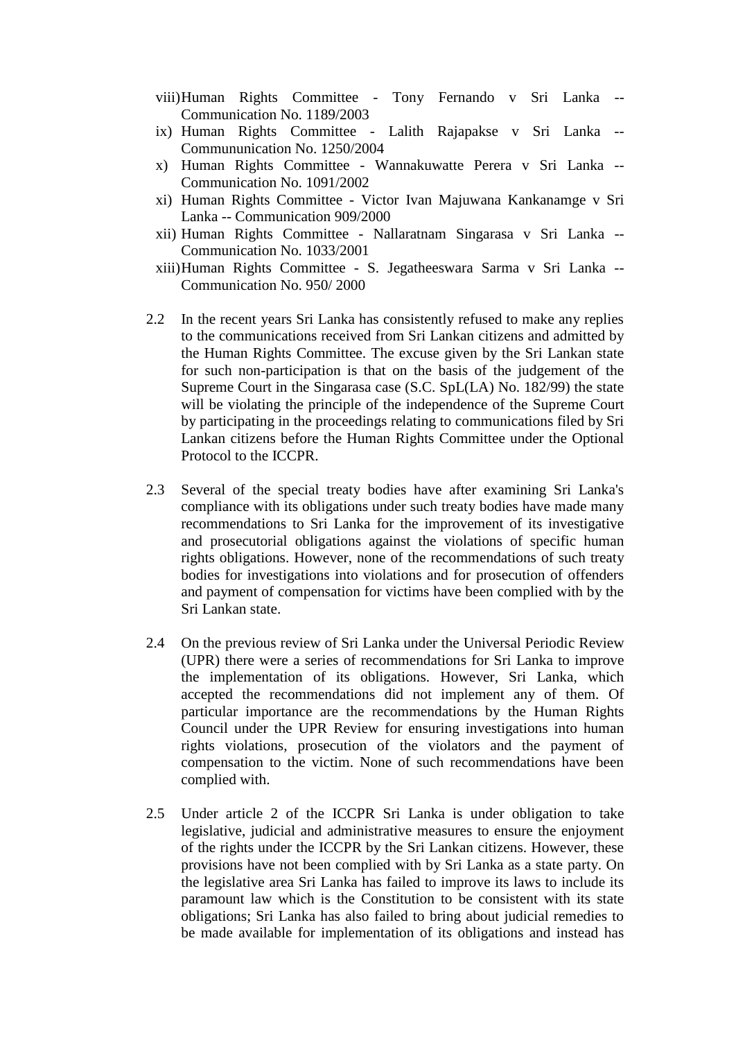- viii)Human Rights Committee Tony Fernando v Sri Lanka -- Communication No. 1189/2003
- ix) Human Rights Committee Lalith Rajapakse v Sri Lanka -- Commununication No. 1250/2004
- x) Human Rights Committee Wannakuwatte Perera v Sri Lanka -- Communication No. 1091/2002
- xi) Human Rights Committee Victor Ivan Majuwana Kankanamge v Sri Lanka -- Communication 909/2000
- xii) Human Rights Committee Nallaratnam Singarasa v Sri Lanka -- Communication No. 1033/2001
- xiii)Human Rights Committee S. Jegatheeswara Sarma v Sri Lanka -- Communication No. 950/ 2000
- 2.2 In the recent years Sri Lanka has consistently refused to make any replies to the communications received from Sri Lankan citizens and admitted by the Human Rights Committee. The excuse given by the Sri Lankan state for such non-participation is that on the basis of the judgement of the Supreme Court in the Singarasa case (S.C. SpL(LA) No. 182/99) the state will be violating the principle of the independence of the Supreme Court by participating in the proceedings relating to communications filed by Sri Lankan citizens before the Human Rights Committee under the Optional Protocol to the ICCPR.
- 2.3 Several of the special treaty bodies have after examining Sri Lanka's compliance with its obligations under such treaty bodies have made many recommendations to Sri Lanka for the improvement of its investigative and prosecutorial obligations against the violations of specific human rights obligations. However, none of the recommendations of such treaty bodies for investigations into violations and for prosecution of offenders and payment of compensation for victims have been complied with by the Sri Lankan state.
- 2.4 On the previous review of Sri Lanka under the Universal Periodic Review (UPR) there were a series of recommendations for Sri Lanka to improve the implementation of its obligations. However, Sri Lanka, which accepted the recommendations did not implement any of them. Of particular importance are the recommendations by the Human Rights Council under the UPR Review for ensuring investigations into human rights violations, prosecution of the violators and the payment of compensation to the victim. None of such recommendations have been complied with.
- 2.5 Under article 2 of the ICCPR Sri Lanka is under obligation to take legislative, judicial and administrative measures to ensure the enjoyment of the rights under the ICCPR by the Sri Lankan citizens. However, these provisions have not been complied with by Sri Lanka as a state party. On the legislative area Sri Lanka has failed to improve its laws to include its paramount law which is the Constitution to be consistent with its state obligations; Sri Lanka has also failed to bring about judicial remedies to be made available for implementation of its obligations and instead has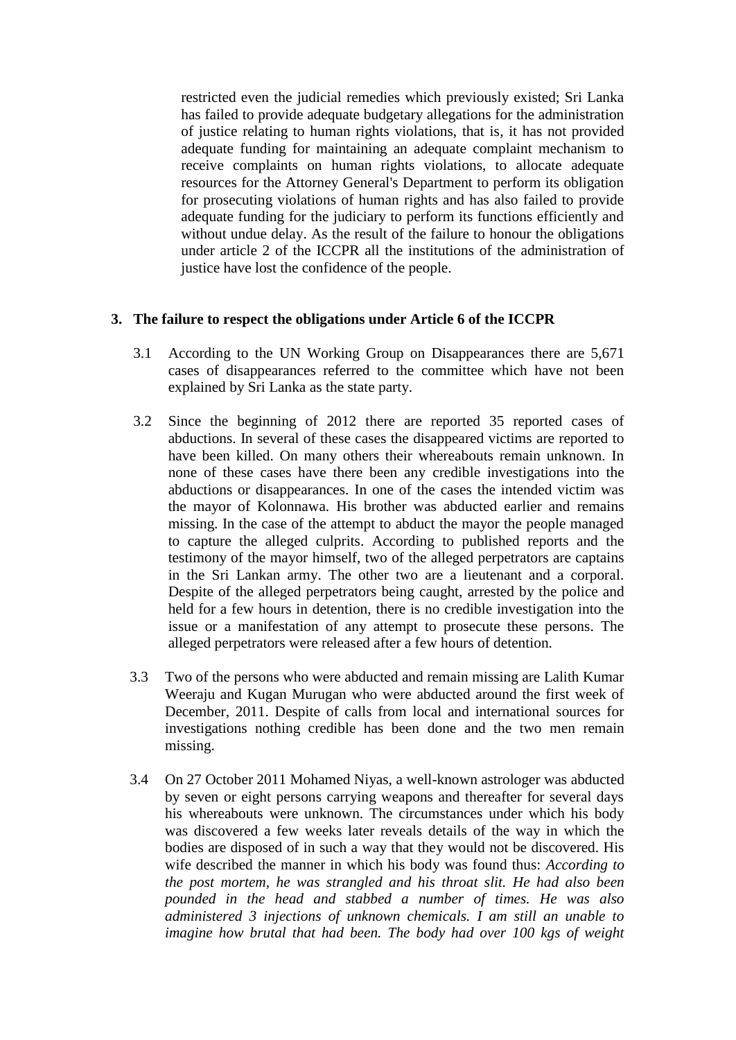restricted even the judicial remedies which previously existed; Sri Lanka has failed to provide adequate budgetary allegations for the administration of justice relating to human rights violations, that is, it has not provided adequate funding for maintaining an adequate complaint mechanism to receive complaints on human rights violations, to allocate adequate resources for the Attorney General's Department to perform its obligation for prosecuting violations of human rights and has also failed to provide adequate funding for the judiciary to perform its functions efficiently and without undue delay. As the result of the failure to honour the obligations under article 2 of the ICCPR all the institutions of the administration of justice have lost the confidence of the people.

### **3. The failure to respect the obligations under Article 6 of the ICCPR**

- 3.1 According to the UN Working Group on Disappearances there are 5,671 cases of disappearances referred to the committee which have not been explained by Sri Lanka as the state party.
- 3.2 Since the beginning of 2012 there are reported 35 reported cases of abductions. In several of these cases the disappeared victims are reported to have been killed. On many others their whereabouts remain unknown. In none of these cases have there been any credible investigations into the abductions or disappearances. In one of the cases the intended victim was the mayor of Kolonnawa. His brother was abducted earlier and remains missing. In the case of the attempt to abduct the mayor the people managed to capture the alleged culprits. According to published reports and the testimony of the mayor himself, two of the alleged perpetrators are captains in the Sri Lankan army. The other two are a lieutenant and a corporal. Despite of the alleged perpetrators being caught, arrested by the police and held for a few hours in detention, there is no credible investigation into the issue or a manifestation of any attempt to prosecute these persons. The alleged perpetrators were released after a few hours of detention.
- 3.3 Two of the persons who were abducted and remain missing are Lalith Kumar Weeraju and Kugan Murugan who were abducted around the first week of December, 2011. Despite of calls from local and international sources for investigations nothing credible has been done and the two men remain missing.
- 3.4 On 27 October 2011 Mohamed Niyas, a well-known astrologer was abducted by seven or eight persons carrying weapons and thereafter for several days his whereabouts were unknown. The circumstances under which his body was discovered a few weeks later reveals details of the way in which the bodies are disposed of in such a way that they would not be discovered. His wife described the manner in which his body was found thus: *According to the post mortem, he was strangled and his throat slit. He had also been pounded in the head and stabbed a number of times. He was also administered 3 injections of unknown chemicals. I am still an unable to imagine how brutal that had been. The body had over 100 kgs of weight*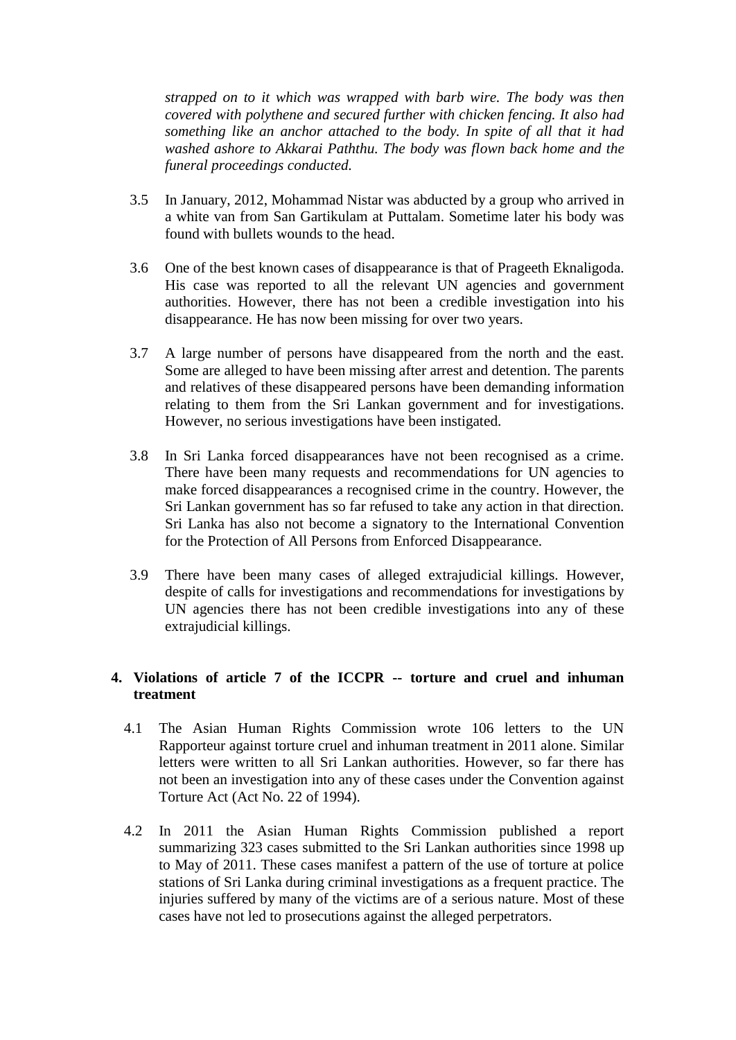*strapped on to it which was wrapped with barb wire. The body was then covered with polythene and secured further with chicken fencing. It also had something like an anchor attached to the body. In spite of all that it had washed ashore to Akkarai Paththu. The body was flown back home and the funeral proceedings conducted.*

- 3.5 In January, 2012, Mohammad Nistar was abducted by a group who arrived in a white van from San Gartikulam at Puttalam. Sometime later his body was found with bullets wounds to the head.
- 3.6 One of the best known cases of disappearance is that of Prageeth Eknaligoda. His case was reported to all the relevant UN agencies and government authorities. However, there has not been a credible investigation into his disappearance. He has now been missing for over two years.
- 3.7 A large number of persons have disappeared from the north and the east. Some are alleged to have been missing after arrest and detention. The parents and relatives of these disappeared persons have been demanding information relating to them from the Sri Lankan government and for investigations. However, no serious investigations have been instigated.
- 3.8 In Sri Lanka forced disappearances have not been recognised as a crime. There have been many requests and recommendations for UN agencies to make forced disappearances a recognised crime in the country. However, the Sri Lankan government has so far refused to take any action in that direction. Sri Lanka has also not become a signatory to the International Convention for the Protection of All Persons from Enforced Disappearance.
- 3.9 There have been many cases of alleged extrajudicial killings. However, despite of calls for investigations and recommendations for investigations by UN agencies there has not been credible investigations into any of these extrajudicial killings.

# **4. Violations of article 7 of the ICCPR -- torture and cruel and inhuman treatment**

- 4.1 The Asian Human Rights Commission wrote 106 letters to the UN Rapporteur against torture cruel and inhuman treatment in 2011 alone. Similar letters were written to all Sri Lankan authorities. However, so far there has not been an investigation into any of these cases under the Convention against Torture Act (Act No. 22 of 1994).
- 4.2 In 2011 the Asian Human Rights Commission published a report summarizing 323 cases submitted to the Sri Lankan authorities since 1998 up to May of 2011. These cases manifest a pattern of the use of torture at police stations of Sri Lanka during criminal investigations as a frequent practice. The injuries suffered by many of the victims are of a serious nature. Most of these cases have not led to prosecutions against the alleged perpetrators.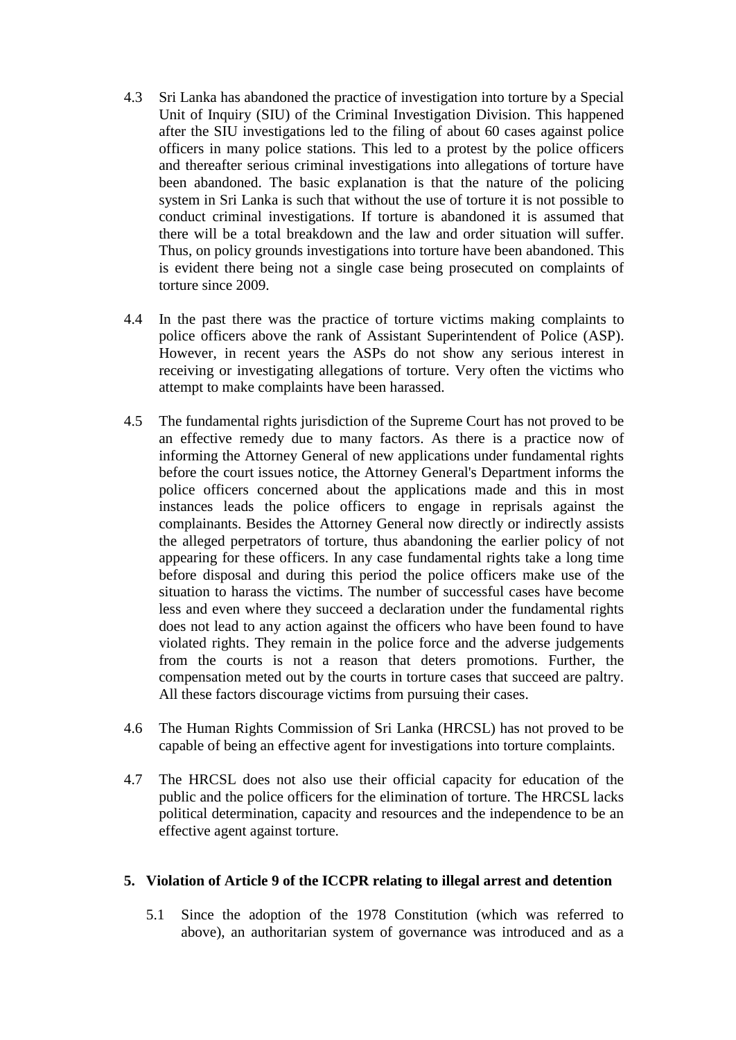- 4.3 Sri Lanka has abandoned the practice of investigation into torture by a Special Unit of Inquiry (SIU) of the Criminal Investigation Division. This happened after the SIU investigations led to the filing of about 60 cases against police officers in many police stations. This led to a protest by the police officers and thereafter serious criminal investigations into allegations of torture have been abandoned. The basic explanation is that the nature of the policing system in Sri Lanka is such that without the use of torture it is not possible to conduct criminal investigations. If torture is abandoned it is assumed that there will be a total breakdown and the law and order situation will suffer. Thus, on policy grounds investigations into torture have been abandoned. This is evident there being not a single case being prosecuted on complaints of torture since 2009.
- 4.4 In the past there was the practice of torture victims making complaints to police officers above the rank of Assistant Superintendent of Police (ASP). However, in recent years the ASPs do not show any serious interest in receiving or investigating allegations of torture. Very often the victims who attempt to make complaints have been harassed.
- 4.5 The fundamental rights jurisdiction of the Supreme Court has not proved to be an effective remedy due to many factors. As there is a practice now of informing the Attorney General of new applications under fundamental rights before the court issues notice, the Attorney General's Department informs the police officers concerned about the applications made and this in most instances leads the police officers to engage in reprisals against the complainants. Besides the Attorney General now directly or indirectly assists the alleged perpetrators of torture, thus abandoning the earlier policy of not appearing for these officers. In any case fundamental rights take a long time before disposal and during this period the police officers make use of the situation to harass the victims. The number of successful cases have become less and even where they succeed a declaration under the fundamental rights does not lead to any action against the officers who have been found to have violated rights. They remain in the police force and the adverse judgements from the courts is not a reason that deters promotions. Further, the compensation meted out by the courts in torture cases that succeed are paltry. All these factors discourage victims from pursuing their cases.
- 4.6 The Human Rights Commission of Sri Lanka (HRCSL) has not proved to be capable of being an effective agent for investigations into torture complaints.
- 4.7 The HRCSL does not also use their official capacity for education of the public and the police officers for the elimination of torture. The HRCSL lacks political determination, capacity and resources and the independence to be an effective agent against torture.

## **5. Violation of Article 9 of the ICCPR relating to illegal arrest and detention**

5.1 Since the adoption of the 1978 Constitution (which was referred to above), an authoritarian system of governance was introduced and as a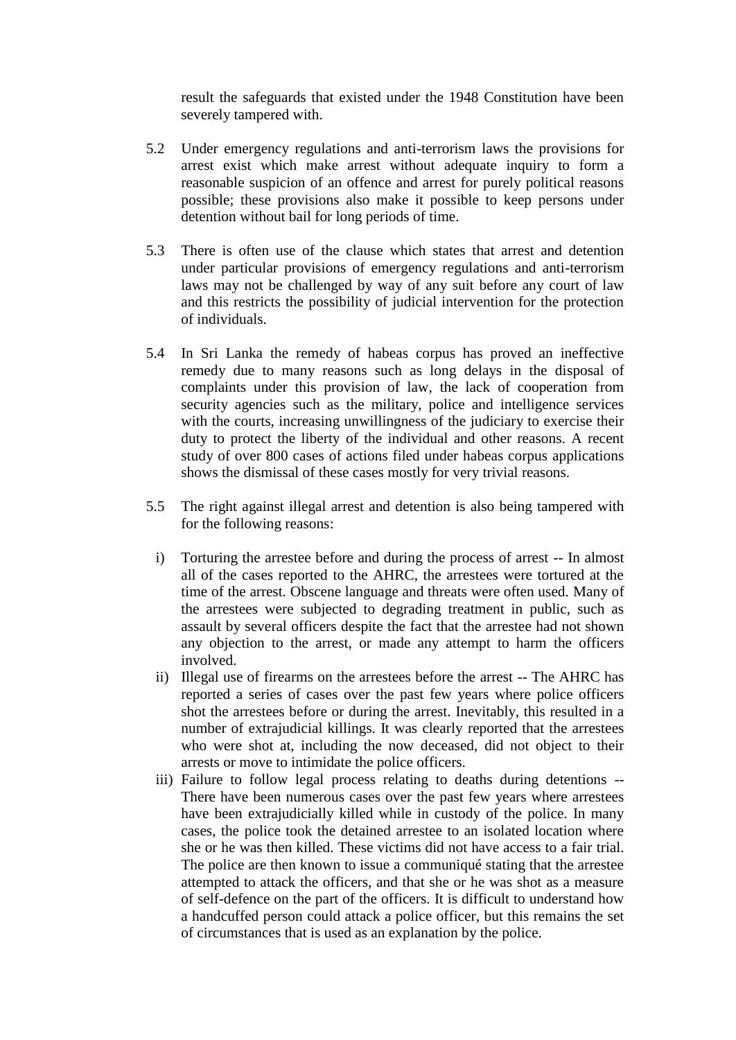result the safeguards that existed under the 1948 Constitution have been severely tampered with.

- 5.2 Under emergency regulations and anti-terrorism laws the provisions for arrest exist which make arrest without adequate inquiry to form a reasonable suspicion of an offence and arrest for purely political reasons possible; these provisions also make it possible to keep persons under detention without bail for long periods of time.
- 5.3 There is often use of the clause which states that arrest and detention under particular provisions of emergency regulations and anti-terrorism laws may not be challenged by way of any suit before any court of law and this restricts the possibility of judicial intervention for the protection of individuals.
- 5.4 In Sri Lanka the remedy of habeas corpus has proved an ineffective remedy due to many reasons such as long delays in the disposal of complaints under this provision of law, the lack of cooperation from security agencies such as the military, police and intelligence services with the courts, increasing unwillingness of the judiciary to exercise their duty to protect the liberty of the individual and other reasons. A recent study of over 800 cases of actions filed under habeas corpus applications shows the dismissal of these cases mostly for very trivial reasons.
- 5.5 The right against illegal arrest and detention is also being tampered with for the following reasons:
	- i) Torturing the arrestee before and during the process of arrest -- In almost all of the cases reported to the AHRC, the arrestees were tortured at the time of the arrest. Obscene language and threats were often used. Many of the arrestees were subjected to degrading treatment in public, such as assault by several officers despite the fact that the arrestee had not shown any objection to the arrest, or made any attempt to harm the officers involved.
	- ii) Illegal use of firearms on the arrestees before the arrest -- The AHRC has reported a series of cases over the past few years where police officers shot the arrestees before or during the arrest. Inevitably, this resulted in a number of extrajudicial killings. It was clearly reported that the arrestees who were shot at, including the now deceased, did not object to their arrests or move to intimidate the police officers.
	- iii) Failure to follow legal process relating to deaths during detentions -- There have been numerous cases over the past few years where arrestees have been extrajudicially killed while in custody of the police. In many cases, the police took the detained arrestee to an isolated location where she or he was then killed. These victims did not have access to a fair trial. The police are then known to issue a communiqué stating that the arrestee attempted to attack the officers, and that she or he was shot as a measure of self-defence on the part of the officers. It is difficult to understand how a handcuffed person could attack a police officer, but this remains the set of circumstances that is used as an explanation by the police.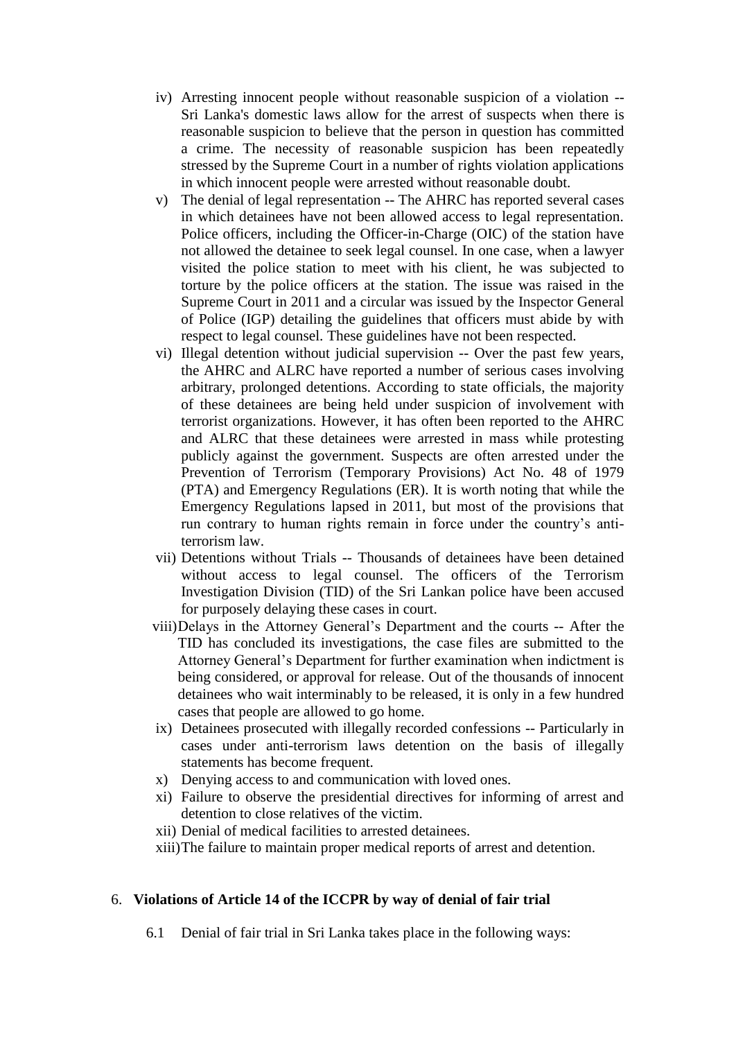- iv) Arresting innocent people without reasonable suspicion of a violation -- Sri Lanka's domestic laws allow for the arrest of suspects when there is reasonable suspicion to believe that the person in question has committed a crime. The necessity of reasonable suspicion has been repeatedly stressed by the Supreme Court in a number of rights violation applications in which innocent people were arrested without reasonable doubt.
- v) The denial of legal representation -- The AHRC has reported several cases in which detainees have not been allowed access to legal representation. Police officers, including the Officer-in-Charge (OIC) of the station have not allowed the detainee to seek legal counsel. In one case, when a lawyer visited the police station to meet with his client, he was subjected to torture by the police officers at the station. The issue was raised in the Supreme Court in 2011 and a circular was issued by the Inspector General of Police (IGP) detailing the guidelines that officers must abide by with respect to legal counsel. These guidelines have not been respected.
- vi) Illegal detention without judicial supervision -- Over the past few years, the AHRC and ALRC have reported a number of serious cases involving arbitrary, prolonged detentions. According to state officials, the majority of these detainees are being held under suspicion of involvement with terrorist organizations. However, it has often been reported to the AHRC and ALRC that these detainees were arrested in mass while protesting publicly against the government. Suspects are often arrested under the Prevention of Terrorism (Temporary Provisions) Act No. 48 of 1979 (PTA) and Emergency Regulations (ER). It is worth noting that while the Emergency Regulations lapsed in 2011, but most of the provisions that run contrary to human rights remain in force under the country's antiterrorism law.
- vii) Detentions without Trials -- Thousands of detainees have been detained without access to legal counsel. The officers of the Terrorism Investigation Division (TID) of the Sri Lankan police have been accused for purposely delaying these cases in court.
- viii)Delays in the Attorney General's Department and the courts -- After the TID has concluded its investigations, the case files are submitted to the Attorney General's Department for further examination when indictment is being considered, or approval for release. Out of the thousands of innocent detainees who wait interminably to be released, it is only in a few hundred cases that people are allowed to go home.
- ix) Detainees prosecuted with illegally recorded confessions -- Particularly in cases under anti-terrorism laws detention on the basis of illegally statements has become frequent.
- x) Denying access to and communication with loved ones.
- xi) Failure to observe the presidential directives for informing of arrest and detention to close relatives of the victim.
- xii) Denial of medical facilities to arrested detainees.
- xiii)The failure to maintain proper medical reports of arrest and detention.

## 6. **Violations of Article 14 of the ICCPR by way of denial of fair trial**

6.1 Denial of fair trial in Sri Lanka takes place in the following ways: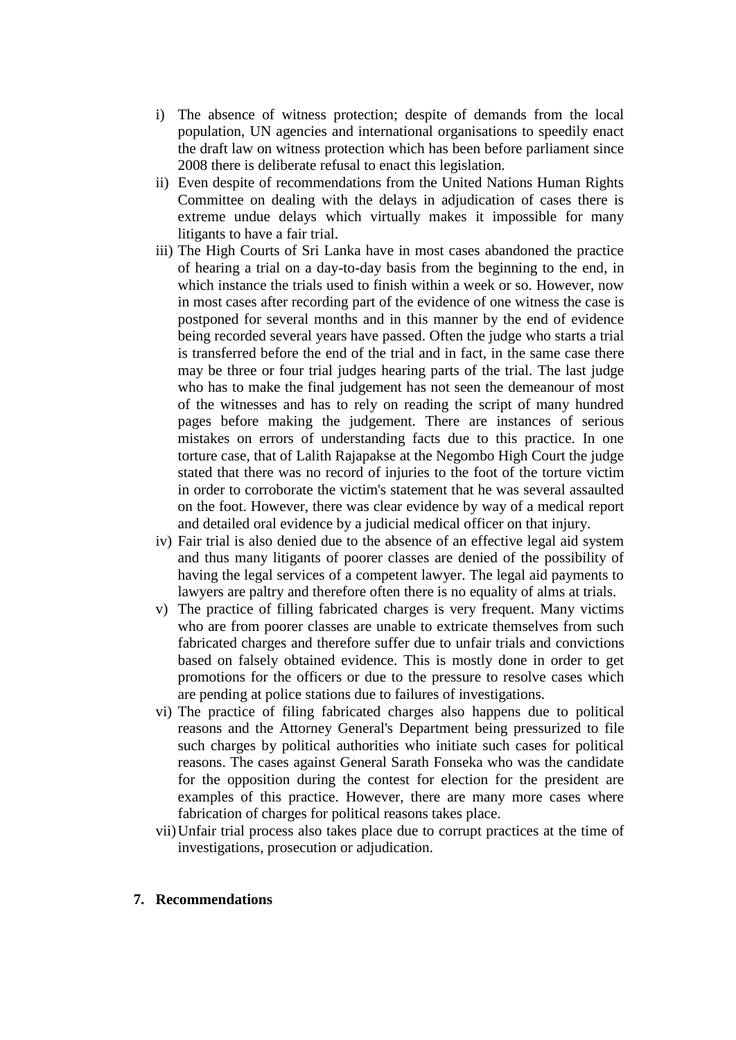- i) The absence of witness protection; despite of demands from the local population, UN agencies and international organisations to speedily enact the draft law on witness protection which has been before parliament since 2008 there is deliberate refusal to enact this legislation.
- ii) Even despite of recommendations from the United Nations Human Rights Committee on dealing with the delays in adjudication of cases there is extreme undue delays which virtually makes it impossible for many litigants to have a fair trial.
- iii) The High Courts of Sri Lanka have in most cases abandoned the practice of hearing a trial on a day-to-day basis from the beginning to the end, in which instance the trials used to finish within a week or so. However, now in most cases after recording part of the evidence of one witness the case is postponed for several months and in this manner by the end of evidence being recorded several years have passed. Often the judge who starts a trial is transferred before the end of the trial and in fact, in the same case there may be three or four trial judges hearing parts of the trial. The last judge who has to make the final judgement has not seen the demeanour of most of the witnesses and has to rely on reading the script of many hundred pages before making the judgement. There are instances of serious mistakes on errors of understanding facts due to this practice. In one torture case, that of Lalith Rajapakse at the Negombo High Court the judge stated that there was no record of injuries to the foot of the torture victim in order to corroborate the victim's statement that he was several assaulted on the foot. However, there was clear evidence by way of a medical report and detailed oral evidence by a judicial medical officer on that injury.
- iv) Fair trial is also denied due to the absence of an effective legal aid system and thus many litigants of poorer classes are denied of the possibility of having the legal services of a competent lawyer. The legal aid payments to lawyers are paltry and therefore often there is no equality of alms at trials.
- v) The practice of filling fabricated charges is very frequent. Many victims who are from poorer classes are unable to extricate themselves from such fabricated charges and therefore suffer due to unfair trials and convictions based on falsely obtained evidence. This is mostly done in order to get promotions for the officers or due to the pressure to resolve cases which are pending at police stations due to failures of investigations.
- vi) The practice of filing fabricated charges also happens due to political reasons and the Attorney General's Department being pressurized to file such charges by political authorities who initiate such cases for political reasons. The cases against General Sarath Fonseka who was the candidate for the opposition during the contest for election for the president are examples of this practice. However, there are many more cases where fabrication of charges for political reasons takes place.
- vii)Unfair trial process also takes place due to corrupt practices at the time of investigations, prosecution or adjudication.

#### **7. Recommendations**